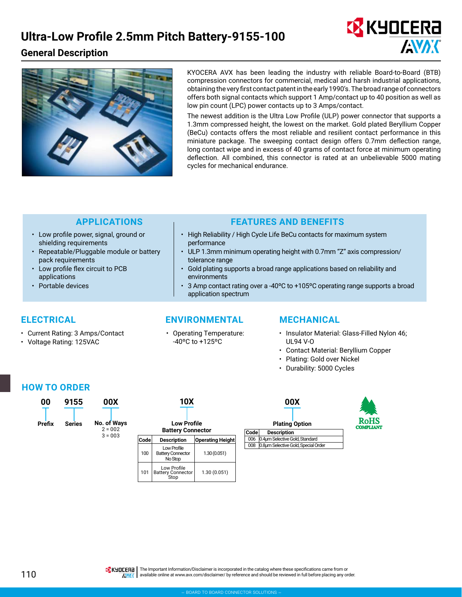### **General Description**





KYOCERA AVX has been leading the industry with reliable Board-to-Board (BTB) compression connectors for commercial, medical and harsh industrial applications, obtaining the very first contact patent in the early 1990's. The broad range of connectors offers both signal contacts which support 1 Amp/contact up to 40 position as well as low pin count (LPC) power contacts up to 3 Amps/contact.

The newest addition is the Ultra Low Profile (ULP) power connector that supports a 1.3mm compressed height, the lowest on the market. Gold plated Beryllium Copper (BeCu) contacts offers the most reliable and resilient contact performance in this miniature package. The sweeping contact design offers 0.7mm deflection range, long contact wipe and in excess of 40 grams of contact force at minimum operating deflection. All combined, this connector is rated at an unbelievable 5000 mating cycles for mechanical endurance.

- Low profile power, signal, ground or shielding requirements
- Repeatable/Pluggable module or battery pack requirements
- Low profile flex circuit to PCB applications
- Portable devices

#### **APPLICATIONS FEATURES AND BENEFITS**

- High Reliability / High Cycle Life BeCu contacts for maximum system performance
- ULP 1.3mm minimum operating height with 0.7mm "Z" axis compression/ tolerance range
- Gold plating supports a broad range applications based on reliability and environments
- 3 Amp contact rating over a -40ºC to +105ºC operating range supports a broad application spectrum

- Current Rating: 3 Amps/Contact
- Voltage Rating: 125VAC

#### **ELECTRICAL ENVIRONMENTAL MECHANICAL**

• Operating Temperature: -40ºC to +125ºC

- Insulator Material: Glass-Filled Nylon 46; UL94 V-O
- Contact Material: Beryllium Copper
- Plating: Gold over Nickel
- Durability: 5000 Cycles

### **HOW TO ORDER**



| 00     | 9155          | 00X                      |                                                | <b>10X</b>                                         |                         |                       | 00X                                               |  |
|--------|---------------|--------------------------|------------------------------------------------|----------------------------------------------------|-------------------------|-----------------------|---------------------------------------------------|--|
| Prefix | <b>Series</b> | No. of Ways<br>$2 = 002$ | <b>Low Profile</b><br><b>Battery Connector</b> |                                                    |                         | <b>Plating Option</b> |                                                   |  |
|        |               | $3 = 003$                | Code                                           | <b>Description</b>                                 | <b>Operating Height</b> | Code<br>006           | <b>Description</b><br>0.4um Selective Gold, Stand |  |
|        |               |                          | 100                                            | Low Profile<br><b>Battery Connector</b><br>No Stop | 1.30(0.051)             | 008                   | 0.8um Selective Gold, Specia                      |  |
|        |               |                          | 101                                            | Low Profile<br><b>Battery Connector</b><br>Stop    | 1.30(0.051)             |                       |                                                   |  |

| 00X                   |                                     |  |  |  |  |  |  |  |
|-----------------------|-------------------------------------|--|--|--|--|--|--|--|
| <b>Plating Option</b> |                                     |  |  |  |  |  |  |  |
| Codel                 | <b>Description</b>                  |  |  |  |  |  |  |  |
| 006                   | 0.4um Selective Gold, Standard      |  |  |  |  |  |  |  |
| 008                   | 0.8um Selective Gold, Special Order |  |  |  |  |  |  |  |
|                       |                                     |  |  |  |  |  |  |  |



110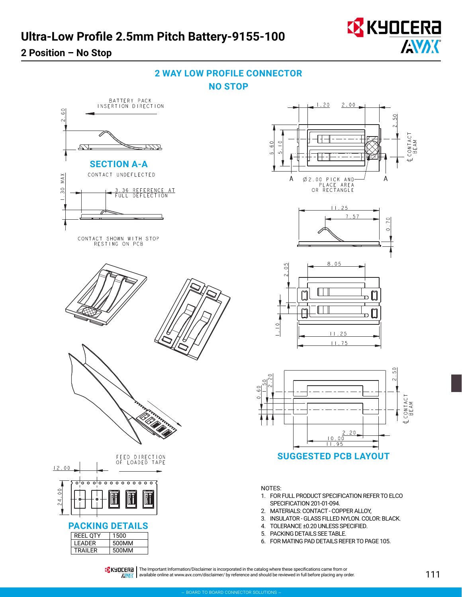### **2 Position – No Stop**



## **2 WAY LOW PROFILE CONNECTOR NO STOP**



available online at [www.avx.com/disclaimer/](http://www.avx.com/disclaimer/) by reference and should be reviewed in full before placing any order.

**ANAK**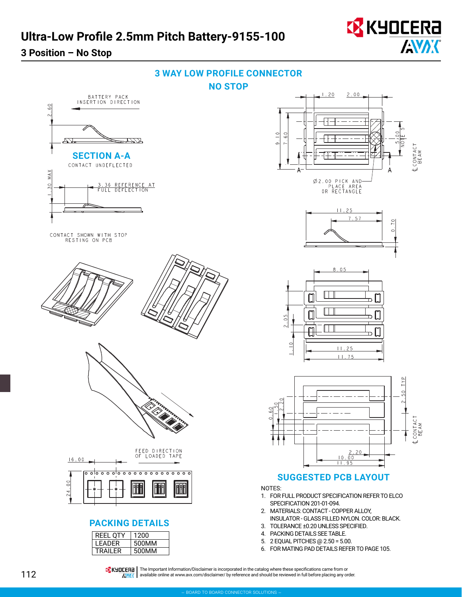

ŦÆ

 $\frac{0}{6}$ 

**MAX** 

 $\overline{30}$ 





**TA KHOLERA** | The Important Information/Disclaimer is incorporated in the catalog where these specifications came from or **AVAIC** available online at [www.avx.com/disclaimer/](http://www.avx.com/disclaimer/) by reference and should be reviewed in full before placing any order.

 $\overline{0}$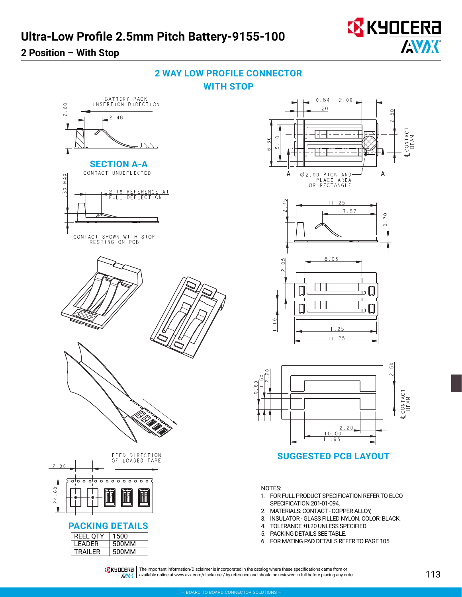## **2 Position – With Stop**













**SUGGESTED PCB LAYOUT**

NOTES:

- 1. FOR FULL PRODUCT SPECIFICATION REFER TO ELCO SPECIFICATION 201-01-094.
- 2. MATERIALS: CONTACT COPPER ALLOY,
- 3. INSULATOR GLASS FILLED NYLON. COLOR: BLACK.
- 4. TOLERANCE ±0.20 UNLESS SPECIFIED.
- 5. PACKING DETAILS SEE TABLE.
- 6. FOR MATING PAD DETAILS REFER TO PAGE 105.

**TA KHOLERA** | The Important Information/Disclaimer is incorporated in the catalog where these specifications came from or  $\sqrt{N'}/($  available online at [www.avx.com/disclaimer/](http://www.avx.com/disclaimer/) by reference and should be reviewed in full before placing any order.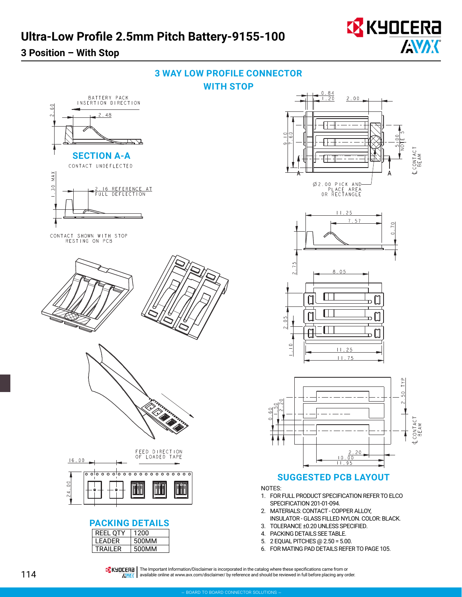

 $\stackrel{\circ}{\circ}$ 

MAX

 $\frac{30}{2}$ 

**SECTION A-A**

CONTACT UNDEFLECTED

CONTACT SHOWN WITH STOP<br>RESTING ON PCB

 $2.48$ 



CONTACT<br>BEAM

 $70$ 

 $\overline{a}$ 

TYP 50

CONTACT<br>BEAM



- 5. 2 EQUAL PITCHES @ 2.50 = 5.00.
- 6. FOR MATING PAD DETAILS REFER TO PAGE 105.

**TA KHOLERA** | The Important Information/Disclaimer is incorporated in the catalog where these specifications came from or **AVAIC** available online at [www.avx.com/disclaimer/](http://www.avx.com/disclaimer/) by reference and should be reviewed in full before placing any order.

 $16.00$ 

 $\circ$ 

LEADER | 500MM TRAILER | 500MM

<del>o olo o o olo o o</del>